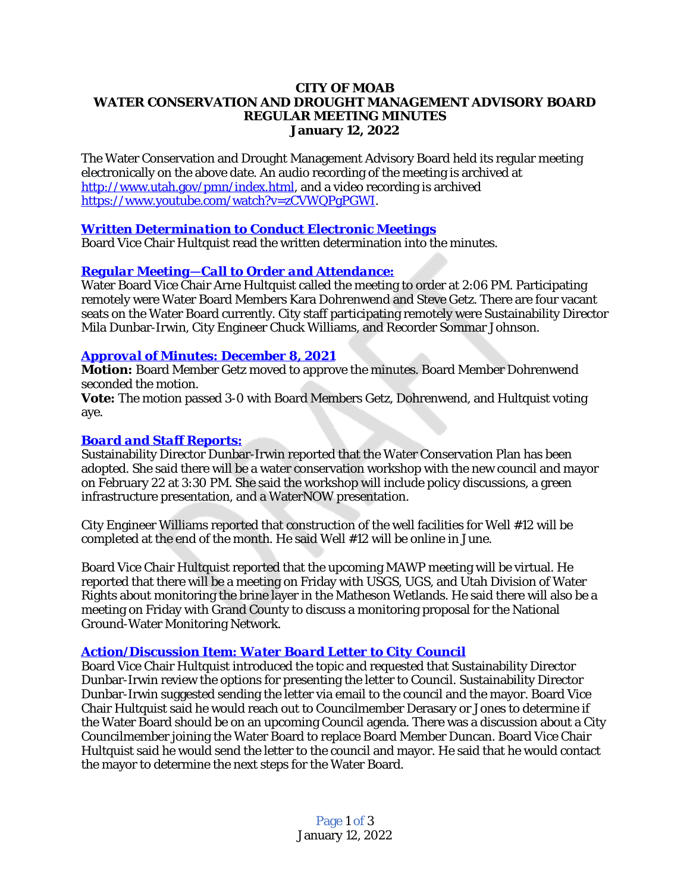#### **CITY OF MOAB WATER CONSERVATION AND DROUGHT MANAGEMENT ADVISORY BOARD REGULAR MEETING MINUTES January 12, 2022**

The Water Conservation and Drought Management Advisory Board held its regular meeting electronically on the above date. An audio recording of the meeting is archived at <http://www.utah.gov/pmn/index.html>, and a video recording is archived [https://www.youtube.com/watch?v=zCVWQPgPGWI.](https://www.youtube.com/watch?v=zCVWQPgPGWI)

## *[Written Determination to Conduct Electronic Meetings](https://youtu.be/zCVWQPgPGWI?t=2)*

Board Vice Chair Hultquist read the written determination into the minutes.

#### *Regular Meeting—[Call to Order and Attendance:](https://youtu.be/zCVWQPgPGWI?t=140)*

Water Board Vice Chair Arne Hultquist called the meeting to order at 2:06 PM. Participating remotely were Water Board Members Kara Dohrenwend and Steve Getz. There are four vacant seats on the Water Board currently. City staff participating remotely were Sustainability Director Mila Dunbar-Irwin, City Engineer Chuck Williams, and Recorder Sommar Johnson.

#### *[Approval of Minutes: December 8, 2021](https://youtu.be/zCVWQPgPGWI?t=172)*

**Motion:** [Board Member Getz moved to approve the minutes. Board Member Dohrenwend](https://youtu.be/zCVWQPgPGWI?t=172) [seconded the motion.](https://youtu.be/zCVWQPgPGWI?t=172)

*[Vote:](https://youtu.be/zCVWQPgPGWI?t=172)* [The motion passed 3-0 with Board Members Getz, Dohrenwend, and Hultquist voting](https://youtu.be/zCVWQPgPGWI?t=172)  [aye.](https://youtu.be/zCVWQPgPGWI?t=172)

## *[Board and Staff Reports:](https://youtu.be/zCVWQPgPGWI?t=240)*

Sustainability Director Dunbar-Irwin reported that the Water Conservation Plan has been adopted. She said there will be a water conservation workshop with the new council and mayor on February 22 at 3:30 PM. She said the workshop will include policy discussions, a green infrastructure presentation, and a WaterNOW presentation.

City Engineer Williams reported that construction of the well facilities for Well #12 will be completed at the end of the month. He said Well #12 will be online in June.

Board Vice Chair Hultquist reported that the upcoming MAWP meeting will be virtual. He reported that there will be a meeting on Friday with USGS, UGS, and Utah Division of Water Rights about monitoring the brine layer in the Matheson Wetlands. He said there will also be a meeting on Friday with Grand County to discuss a monitoring proposal for the National Ground-Water Monitoring Network.

#### *[Action/Discussion Item: Water Board Letter to City Council](https://youtu.be/zCVWQPgPGWI?t=604)*

Board Vice Chair Hultquist introduced the topic and requested that Sustainability Director Dunbar-Irwin review the options for presenting the letter to Council. Sustainability Director Dunbar-Irwin suggested sending the letter via email to the council and the mayor. Board Vice Chair Hultquist said he would reach out to Councilmember Derasary or Jones to determine if the Water Board should be on an upcoming Council agenda. There was a discussion about a City Councilmember joining the Water Board to replace Board Member Duncan. Board Vice Chair Hultquist said he would send the letter to the council and mayor. He said that he would contact the mayor to determine the next steps for the Water Board.

> Page 1 of 3 January 12, 2022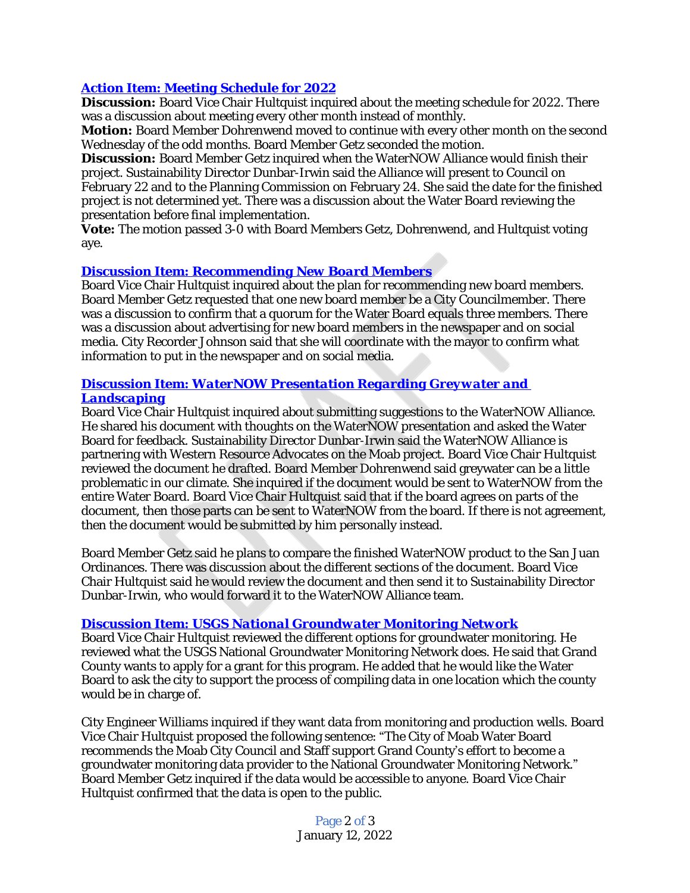# *Action Item: Meeting Schedule for 2022*

**Discussion:** Board Vice Chair Hultquist inquired about the meeting schedule for 2022. There was a discussion about meeting every other month instead of monthly.

**Motion:** Board Member Dohrenwend moved to continue with every other month on the second Wednesday of the odd months. Board Member Getz seconded the motion.

**Discussion:** Board Member Getz inquired when the WaterNOW Alliance would finish their project. Sustainability Director Dunbar-Irwin said the Alliance will present to Council on February 22 and to the Planning Commission on February 24. She said the date for the finished project is not determined yet. There was a discussion about the Water Board reviewing the presentation before final implementation.

**Vote:** The motion passed 3-0 with Board Members Getz, Dohrenwend, and Hultquist voting aye.

#### *[Discussion Item: Recommending New Board Members](https://youtu.be/zCVWQPgPGWI?t=1239)*

[Board Vice Chair Hultquist inquired about the plan for recommending new board members.](https://youtu.be/zCVWQPgPGWI?t=1239)  [Board Member Getz requested that one new board member be a City Councilmember. There](https://youtu.be/zCVWQPgPGWI?t=1239)  [was a discussion to confirm that a quorum for the Water Board equals three members. There](https://youtu.be/zCVWQPgPGWI?t=1239)  [was a discussion about advertising for new board members in the newspaper and on social](https://youtu.be/zCVWQPgPGWI?t=1239)  [media. City Recorder Johnson said that she will coordinate with the mayor to confirm what](https://youtu.be/zCVWQPgPGWI?t=1239)  [information to put in the newspaper and on social media.](https://youtu.be/zCVWQPgPGWI?t=1239) 

### *[Discussion Item: WaterNOW Presentation Regarding Greywater and](https://youtu.be/zCVWQPgPGWI?t=1485)  Landscaping*

Board Vice Chair Hultquist inquired about submitting suggestions to the WaterNOW Alliance. He shared his document with thoughts on the WaterNOW presentation and asked the Water Board for feedback. Sustainability Director Dunbar-Irwin said the WaterNOW Alliance is partnering with Western Resource Advocates on the Moab project. Board Vice Chair Hultquist reviewed the document he drafted. Board Member Dohrenwend said greywater can be a little problematic in our climate. She inquired if the document would be sent to WaterNOW from the entire Water Board. Board Vice Chair Hultquist said that if the board agrees on parts of the document, then those parts can be sent to WaterNOW from the board. If there is not agreement, then the document would be submitted by him personally instead.

Board Member Getz said he plans to compare the finished WaterNOW product to the San Juan Ordinances. There was discussion about the different sections of the document. Board Vice Chair Hultquist said he would review the document and then send it to Sustainability Director Dunbar-Irwin, who would forward it to the WaterNOW Alliance team.

#### *[Discussion Item: USGS National Groundwater Monitoring Network](https://youtu.be/zCVWQPgPGWI?t=2821)*

Board Vice Chair Hultquist reviewed the different options for groundwater monitoring. He reviewed what the USGS National Groundwater Monitoring Network does. He said that Grand County wants to apply for a grant for this program. He added that he would like the Water Board to ask the city to support the process of compiling data in one location which the county would be in charge of.

City Engineer Williams inquired if they want data from monitoring and production wells. Board Vice Chair Hultquist proposed the following sentence: "The City of Moab Water Board recommends the Moab City Council and Staff support Grand County's effort to become a groundwater monitoring data provider to the National Groundwater Monitoring Network." Board Member Getz inquired if the data would be accessible to anyone. Board Vice Chair Hultquist confirmed that the data is open to the public.

> Page 2 of 3 January 12, 2022